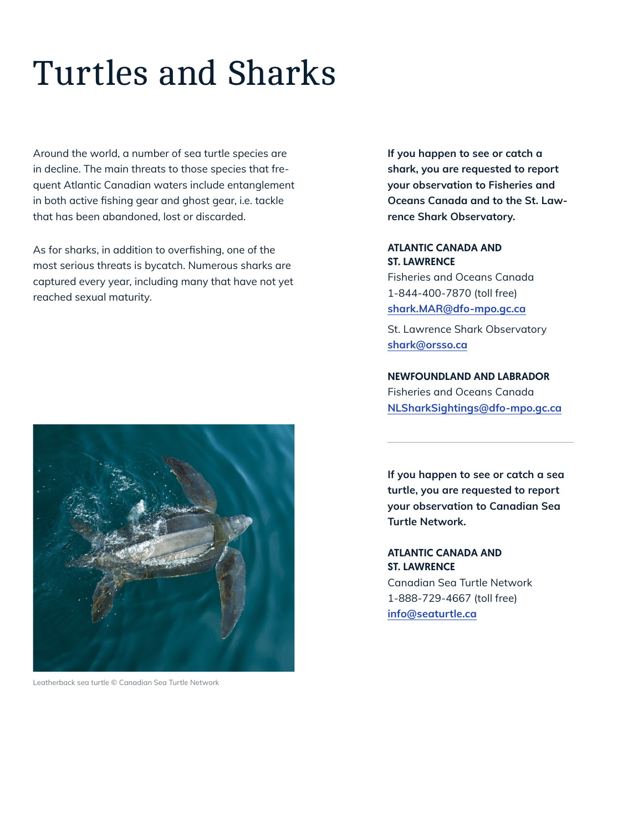## Turtles and Sharks

Around the world, a number of sea turtle species are in decline. The main threats to those species that frequent Atlantic Canadian waters include entanglement in both active fishing gear and ghost gear, i.e. tackle that has been abandoned, lost or discarded.

As for sharks, in addition to overfishing, one of the most serious threats is bycatch. Numerous sharks are captured every year, including many that have not yet reached sexual maturity.



Leatherback sea turtle © Canadian Sea Turtle Network

**If you happen to see or catch a shark, you are requested to report your observation to Fisheries and Oceans Canada and to the St. Lawrence Shark Observatory.**

## ATLANTIC CANADA AND ST. LAWRENCE

Fisheries and Oceans Canada 1-844-400-7870 (toll free) **[shark.MAR@dfo-mpo.gc.ca](mailto:shark.MAR%40dfo-mpo.gc.ca?subject=)**

St. Lawrence Shark Observatory **[shark@orsso.ca](mailto:shark%40orsso.ca?subject=)**

NEWFOUNDLAND AND LABRADOR Fisheries and Oceans Canada **[NLSharkSightings@dfo-mpo.gc.ca](mailto:NLSharkSightings%40dfo-mpo.gc.ca?subject=)**

**If you happen to see or catch a sea turtle, you are requested to report your observation to Canadian Sea Turtle Network.**

ATLANTIC CANADA AND ST. LAWRENCE

Canadian Sea Turtle Network 1-888-729-4667 (toll free) **[info@seaturtle.ca](mailto:info%40seaturtle.ca?subject=)**